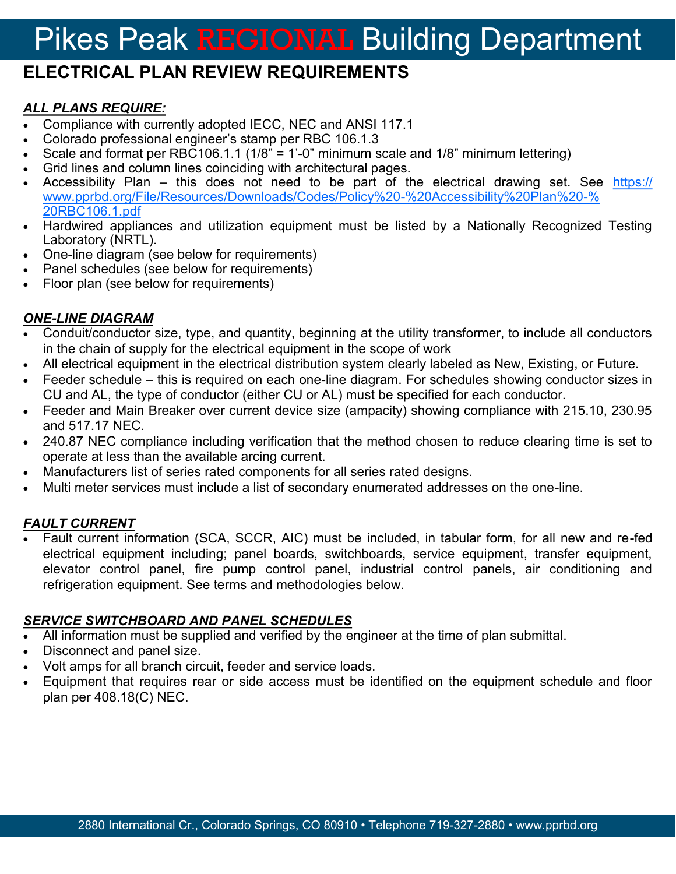# Pikes Peak REGIONAL Building Department

## **ELECTRICAL PLAN REVIEW REQUIREMENTS**

#### *ALL PLANS REQUIRE:*

- Compliance with currently adopted IECC, NEC and ANSI 117.1
- Colorado professional engineer's stamp per RBC 106.1.3
- Scale and format per RBC106.1.1 (1/8" = 1'-0" minimum scale and 1/8" minimum lettering)
- Grid lines and column lines coinciding with architectural pages.
- Accessibility Plan this does not need to be part of the electrical drawing set. See [https://](https://www.pprbd.org/File/Resources/Downloads/Codes/Policy%20-%20Accessibility%20Plan%20-%20RBC106.1.pdf) [www.pprbd.org/File/Resources/Downloads/Codes/Policy%20](https://www.pprbd.org/File/Resources/Downloads/Codes/Policy%20-%20Accessibility%20Plan%20-%20RBC106.1.pdf)-%20Accessibility%20Plan%20-% [20RBC106.1.pdf](https://www.pprbd.org/File/Resources/Downloads/Codes/Policy%20-%20Accessibility%20Plan%20-%20RBC106.1.pdf)
- Hardwired appliances and utilization equipment must be listed by a Nationally Recognized Testing Laboratory (NRTL).
- One-line diagram (see below for requirements)
- Panel schedules (see below for requirements)
- Floor plan (see below for requirements)

#### *ONE-LINE DIAGRAM*

- Conduit/conductor size, type, and quantity, beginning at the utility transformer, to include all conductors in the chain of supply for the electrical equipment in the scope of work
- All electrical equipment in the electrical distribution system clearly labeled as New, Existing, or Future.
- Feeder schedule this is required on each one-line diagram. For schedules showing conductor sizes in CU and AL, the type of conductor (either CU or AL) must be specified for each conductor.
- Feeder and Main Breaker over current device size (ampacity) showing compliance with 215.10, 230.95 and 517.17 NEC.
- 240.87 NEC compliance including verification that the method chosen to reduce clearing time is set to operate at less than the available arcing current.
- Manufacturers list of series rated components for all series rated designs.
- Multi meter services must include a list of secondary enumerated addresses on the one-line.

#### *FAULT CURRENT*

 Fault current information (SCA, SCCR, AIC) must be included, in tabular form, for all new and re-fed electrical equipment including; panel boards, switchboards, service equipment, transfer equipment, elevator control panel, fire pump control panel, industrial control panels, air conditioning and refrigeration equipment. See terms and methodologies below.

#### *SERVICE SWITCHBOARD AND PANEL SCHEDULES*

- All information must be supplied and verified by the engineer at the time of plan submittal.
- Disconnect and panel size.
- Volt amps for all branch circuit, feeder and service loads.
- Equipment that requires rear or side access must be identified on the equipment schedule and floor plan per 408.18(C) NEC.